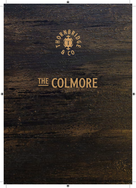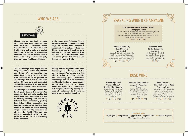### WHO WF ARF...



**Pivovar started out back in 2005 as a specialist beer importer and beer distributor. Founders Jamie Hawksworth & Jon Holdsworth found it difficult to sell to pubs in a market dominated by big brands, commodity beers and tied lines, so decided to do it themselves and opened our first pub, the much loved Pivni located in York.**

**The Thornbridge story began back in 2005 when our founders Jim Harrison and Simon Webster recruited two young brewers to brew on a second hand 10-barrel kit in the grounds of Thornbridge Hall. A few months later Jaipur IPA was born and catapulted Thornbridge Brewery to become one of the leaders of the UK Craft Beer scene.**

**Thornbridge have always brewed the finest quality beer with a passion. We recognise that not only quality but consistency and innovation are key to creating amazing and beautifully balanced beer. Consistently pushing boundaries whilst respecting the important traditions of 'Crafting' beer helps us to create an award winning range of beers loved by our customers all over the World. With over 350 Industry recognised awards we are proud to be part of such an exciting Craft Beer scene.**

**In the years that followed, Pivovar has flourished and our ever expanding range of venues have become a benchmark for excellence, where beer drinkers know they will receive a warm welcome and be able to choose from the best UK & international beers – in short, places that Jamie & Jon themselves want to drink.** 

**Having worked together since 2009 Thornbridge and Pivovar decided in 2017 to create Thornbridge and Co., with a vision to create beautiful and welcoming pubs nationwide. Thornbridge and Co. pubs incorporate the Thornbridge brand values, provide an excellent selection of beers, wines and spirits in a comfortable, picturesque and friendly setting. The pubs all endeavour to become an integral part of local communities.**



### SPARKLING WINE & CHAMPAGNE

**Champagne Drappier Carte d'Or Brut Champagne, France**

A Pinot Noir-based Champagne of style and finesse, offering delicate aromas of white peach and a touch of spice. Dry and elegant with an impressive degree of concentration, along with fine bubbles and a long, crisp finish. S **11.5 /** H **29.5/** B **55**

#### **Prosecco Extra Dry Cá del Console Veneto, Italy**

A classic Prosecco with aromas of white peach, pear and flowers. The palate is fresh, not too dry and clean as a whistle all the way through to the sparkling finish.

S **5.5 /** B **29.5 /** MG **52**

#### **Prosecco Rosé Cá del Console** '20 **Veneto, Italy** A blush pink sparkling Rosé with appealing floral aromas and appealing strawberry fruits, supported by light, soft bubbles.

S **6 /** B **32**

## ROSÉ WINE

#### **Pinot Grigio Rosé Terre del Noce** '21 **Trentino-Alto Adige, Italy** Jam-packed with the ripe berry fruit you would expect from this variety, but with far more intensity and structure than the norm. S **4.5 /** M **6 /** B **23.5**

#### **Domaine Coste Rosé** '20 **Languedoc-Roussillon, France**

Palish pink in colour, with a plump, dry palate and flavours of strawberry and blackberry. Fresh and round with good length. S **5.2 /** M **6.8 /** B **27.5**

**M de Minuty** '20 **Côtes de Provence Rosé**

#### **Provence, France**

A beautiful pale pink colour, with aromas of redcurrants giving way to a fresh, yet well-rounded palate offering delicate flavours of peaches and candied orange peel. S **7.2 /** M **9.8 /** B **39**

#### SERVING KEY:

S **125ml glass /** M **175ml glass /** H **375ml bottle /** B **750ml bottle /** MG **1500ml magnum All vintages are 21st century.**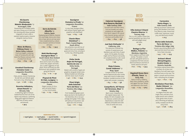#### **Matetic Biodynamic** '17 **Aconcagua, Chile** Showcasing the incredible quality and value coming out of Chile now, this stunning wine shows excellent integration of oak to offer a seamless hazelnut-pastry character alongside vivacious lemon.

B **45**

**Blanc de Blancs, Château Ksara** '20 **Bekaa Valley, Lebanon** Fresh and elegant, combining notes of honeysuckle with ripe stone fruit flavours and just a hint of smoke from the oak. S **6.9 /** M **8.9 /** B **38**

#### **Unoaked Chardonnay Domaine Coste** '20 **Languedoc-Roussillon, France** Clean, precise, mineral Chardonnay. No oak here, just delicate apple fruit and a crisp, refreshing finish.

S **5.2 /** M **6.8 /** B **27.5**

#### **Pecorino Vellodoro, Umani Ronchi** '20 **Abruzzo, Italy**

A refreshing, light-to-mediumbodied Pecorino from one of the regions top producers, combining tangy green apple fruit flavours with hints of herbs, stones and almonds.

B **39.5**

### WHITE WINE

**Serra da Estrela Albariño** '21 **Galicia, Spain** Displaying typical Albariño character this surprisingly intense wine shows hints of pear, apricot and ripe exotic fruits complemented by a vibrant citrus character and hints of mineral

> and spice. S **6.2 /** M **8.5 /** B **34.5**

#### **Mahi Marlborough Sauvignon Blanc** '21 **South Island, New Zealand** Truly handcrafted wine by Brian and his team of 6 at Mahi. Lemon-lime, pepper and herbs, plus a subtle suggestion of ripe peach. Plush and broad, but with harmonious spicy, grapefruit notes giving the wine lift. S **7.5 /** M **10 /** B **42**

**Picpoul de Pinet St Clair, Luvignac** '21 **Languedoc-Roussillon, France** Elegant aromas of citrus, pear and white flowers a crisp, mineral palate. S **5.5 /** M **7.5 /** B **29.5**

**Sauvignon Domaine La Prade** '20 **Languedoc-Roussillon, France** A crisp, lively Sauvignon Blanc with aromas of green apple, pink grapefruit and elderflower.

S **4.9 /** M **6.5 /** B **26**

#### **Chenin Blanc Kleinkloof** '21 **Paarl, Coastal Region, South Africa** Very attractive nose with lots of tropical fruits such as pineapple, guava and citrus fruit, carrying on to the crisp, refreshing palate.

B **21.5**

#### **Vinho Verde Anjos de Portugal, Quinta da Lixa** '20 **Vinho Verde, Portugal** Modern with aromas of apple and grapefruit alongside herbal notes. Medium-bodied and refreshing, with the classic touch of spritz.

S **4.7 /** M **6.2 /** B **24.5**

#### **Pinot Grigio delle Dolomiti Terre del Noce** '20 **Trentino-Alto Adige, Italy**

From handpicked grapes 500m above sea level in the foothills of the Dolomites, this is not your average pinot grigio. Fresh, zippy with plenty of crisp lemon, ripe apple and a hint of honey.

S **4.5 /** M **6 /** B **23.5**

#### **Cabernet Sauvignon Gran Reserva, Morandé** '19 **Valle Central, Chile** Focused cassis and black cherry fruit lent breadth and cedary complexity by well-judged oak. Firm tannin supports the natural juicy character giving a well-knit structure and excellent finish **EQ Quartz Chardonnay, MINE Chardonnay, MINE Cabernet Sauvignon**<br> **Chardonnay, Chardonnay, Chardonnay, Cabernet Sauvignon**

S **6.9 /** M **8.9 /** B **38**

#### **Joel Gott Zinfandel** '18 **California, USA**

This expressive Zinfandel has aromas of roasted plum and blackberry jam with hints of sweet spices. On the palate, the wines bright red fruit flavours and acidity are complemented by a soft, round mouthfeel and a long finish.

B **44**

#### **Rioja Crianza, Conde Valdemar** '17

#### **Rioja, Spain** Complex aromas of ripe black berries balanced with warm vanilla

notes and a touch of subtle spice. Excellent, rounded structure on the palate with aromatic complexity.

S **6.5 /** M **8.9 /** B **36**

#### **Campofiorin, IGT Rosso del Veronese, Masi** '18

**Veneto, Italy** Masi's iconic Campofiorin is the original ripassa style. The deeply rich skins of grapes used for Amarone combine with juicy Valpolicella to create this wellbalanced, full-bodied wine with hints of vanilla and cocoa.

B **44**

# RED

#### **Villa Antinori Chianti Classico Riserva** '18

**Tuscany, Italy** This is a rich, modern Chianti that marries beautifully ripe cherry fruit with well-judged smoky oak notes.

#### B **52**

#### **Bodega La Flor Malbec, Pulenta** '20

**Mendoza, Argentina** Fresh raspberry and floral violet aromas. The palate is round and soft, with gentle tannins to complement the fresh red and black fruit flavours and hints of vanilla, liquorice and spice. S **6.2 /** M **8.5 /** B **34.5**

#### **Regaleali Rosso Nero d'Avola, Tasca** '19

**Sicily, Italy** Notes of cherry, mulberry, black cherry, blueberry, vanilla and sageon the nose. Velvety and balanced in the mouth. S **5.5 /** M **7.5 /** B **30.5**

**Santa Alegra** '19 **Valle Central, Chile** Offering uncommon ripeness and

**Carmenère** 

purity, with blackberry and cassis fruit offset by cedar, mineral and truffle notes. Impressive, round, juicy, and deliciously smooth. B **21.5**

#### **Merlot delle Dolomiti, Terre del Noce** '20 **Trentino-Alto Adige, Italy**

Smooth, easy-drinking Merlot with plum and red cherry fruit and a hint of dark chocolate.

S **4.5 /** M **6 /** B **23.5**

#### **Artisan's Blend Shiraz/Viognier, Deakin Estate** '21

**Victoria, Australia** This Rhône-inspired blend offers a brilliant mix of plum and blackberry fruit with sweet spice and floral tones on the nose. The palate is smooth and fruit-driven, with a refreshing hint of pepper. S **4.7 /** M **6.2 /** B **25**

#### **Révélation Pinot Noir, Badet Clément** '20 **Languedoc-Roussillon, France**

An elegant Pinot Noir with bright cherry and berry fruit, supple tannins and a medium body. gentle notes of spice and a refreshing yet balanced. acidity complete and lift the classy finish.

S **5.2 /** M **6.8 /** B **28.5**

#### SERVING KEY:

S **125ml glass /** M **175ml glass /** B **750ml bottle /** MG **1500ml magnum All vintages are 21st century.**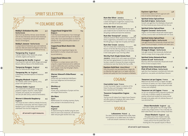

### SPIRIT SELECTION

### THE COLMORE GINS

#### **Bobby's Schiedam Dry Gin Netherlands**

Spirit from top distillery Herman Jansen blended with the best Indonesian and East Asian botanicals and spices. A beautifully soft Gin with wonderful flavours of lemongrass.

#### **Bobby's Jenever Netherlands 4** A unique blend of Indonesian spice and traditional

malt wine. Malt wine based and fragrant on the nose, a fresh burst of lemongrass and herbs at first sip.

#### **Tanqueray Dry England 4**

A perfect balance of four botanicals: juniper, coriander, angelica and liquorice.

#### **Tanqueray De Seville England 4.5** A sun-kissed Gin made with Seville oranges and orange blossom, delicious flavours of the Mediterranean.

**Tanqueray Rangpur England 4.5** Zesty Gin flavoured with Rangpur limes.

#### **Tanqueray No. 10 England** 4.9 A beautifully controlled explosion of botanical flavours.

#### **Slingsby Rhubarb England 4.8** Tart rhubarb, subtle summer berries, citrus, juniper and a gentle spice.

**Thomas Dakin England 4** The 11 botanicals include juniper orange peel, grapefruit, angelica, liquorice, cubeb, English coriander and uniquely, the root botanical red Cole (the 18th century name for horseradish).

#### **Warner's Edwards Raspberry** 4.5 **England**

This recipe has been crafted to embody the bounty of the British countryside, with fresh raspberry and blackberry juice in every bottle, and hand-picked elderflower from the farm hedgerows.

**all served in 25ml measures.**

#### **Copperhead Original Gin 6.5 Belgium**

From Pharmacist-Entrepreneur Yvan Vindevogel comes this multi award winning Gin of absolute clarity. After much experimentation to create the ultimate Gin, they found the perfect balance of just 5 botanicals.

#### **Copperhead Black Batch Gin 7 Belgium**

Starting with the Copperhead Original, the BLACK BATCH is further infused with Ceylon tea and elderberry.

#### **Copperhead Gibson Gin 7 Belgium**

This Edition is a unique savoury style of Gin, using the 5 original botanicals and an additional 13 spices traditionally used in pickling including mace, pepper, cassia, bay leaf, ginger, allspice, fennel and dill seeds.

#### **Warner Edward's Elderflower 4.5 England**

Infused with 300 handpicked elderflowers from local hedgerows and harvested just once a year.

### **Monkey 47 6.2**

**Germany** A fresh, zesty combination of juniper and lime with elegant floral touches.

#### **Gin Mare 4.6 Spain**

Mediterranean Gin including rosemary, thyme, olive, and basil in the botanical line up.

#### **Plymouth 4 England**

An award-winning Gin distilled using the same blend of seven exotic botanicals, soft Dartmoor water and pure grain alcohol since 1793

### RUM

#### **Rum-Bar Silver Jamaica 4**

From Jamaica's historic Worthy Park Estate, it is a sweet and fragrant un-aged Rum, tropical, fruity aromas, with hints of citrus and vanilla.

#### **Rum-Bar Gold Jamaica 4**

The fruit dominates the palate whilst the four aged years enable this Rum to benefit from oak interaction, also giving a vanilla and treacle like sweetness.

#### **Rum-Bar Overproof Jamaica 4.8**

Jamaica's premium White Overproof Rum. A blend of three un-aged Rums, all distilled on our 100% copper Pot-Still; giving us a high level of quality and flavour.

#### **Rum-Bar Cream Jamaica 3.5**

The rich creamy base is balanced by the opulent flavours of the Rum-Bar Rum giving you a smooth and taste whether drinking chilled or on the rocks. It even tastes great in your morning coffee!

#### **Worthy Park Single Estate Rum 6**

**Jamaica** A blend of our 100% copper pot-still Rums that have been aging between 6-10 years; this blend has been created to showcase the unique complexity and distinctive taste that Worthy Park has to offer.

**Equiano Gold Rum Island Blend 6** One of the world's most decorated Rums, it begins life as a Mauritian Rum aged 10yrs in ex Cognac casks then blended with quality Rum from Foursquare on Barbados.

### **COGNAC**

#### **Courvoisier Luxe France 4**

A 3 star Courvoisier Cognac is a selection of the finest Fins Bois and Champagne Cognac which have reached their full maturity.

#### **Tesseron Composition Cognac 6.5 France**

The first non-XO release from Cognac house Tesseron still offers plenty of complexity, with notes of spice and stewed fruit alongside floral notes.

### VODKA

#### **Luksusowa Poland 4**

The oldest and most awarded Polish Vodka. Made from potatoes so no added water, this Vodka has a soft and smooth creaminess to the palate.

#### **Equiano Light Rum 5.8** A harmonious balance of fresh sugarcane with hints of vanilla & dried light oak.

#### **Spirited Union Spiced Rum 4 Sea Salt & Spice Netherlands** Smooth cask-aged Rum from Barbados infused with the finest botanicals plus Anana salt from the sea.

#### **Spirited Union Spiced Rum 4 Organic Coconut Netherlands** Organic rum from Belize infused with toasted organic coconut, coconut water and distilled with rich cacao.

#### **Spirited Union Spiced Rum 4 Pineapple & Spice Netherlands** Cask-aged Panama Rum botanically infused with fresh Queen Victoria pineapple, cinnamon and sweet spice.

**Spirited Union Spiced Rum 4 Orange & Ginger Netherlands** Cask-aged Jamaican Rum botanically distilled with Valencia orange, blood orange, ginger and spice.

**Spirited Union Botanical Rum 4 Lemon & Leaf Netherlands** Mauritius white Rum botanically infused with Amalfi lemons & blue eucalyptus leaves.

**Spirited Union Botanical Rum 4 Pink G'fruit & Rose Netherlands** Light Rum from Swaziland re-distilled with fresh pink grapefruits, rose petals and elderflower blossom.

**Tesseron Lot 90 Cognac France 10** Made from the finest terroirs in Cognac and aged a minimum of 10years, Lot n°90's unique character comes from long ageing in oak barrels, which adds richness and complexity.

#### **Tesseron Lot 76 Cognac France 14** Lot 76 is an exceptional blend, matured to perfection in old casks, it exhibits a wealth of caramelised peaches, almond and candied fruit aroma carried through to the palate, with rich, delicate flavours of

#### **Chase Marmalade England 4.5**

nuts and dried fruit.

Clear with a slight golden hue, this tangy Vodka exudes zesty orange aromas. It has a naturally rich bitter-sweet flavour and a warm velvety mouth-feel.

#### **Chase Rhubarb England 4.5**

The palate shows fresh rhubarb retaining a hint of rhubarb tartness and peppery spirit. Creamy texture from the potato base spirit, finishing like a fine eposado tequila or Mezcal.